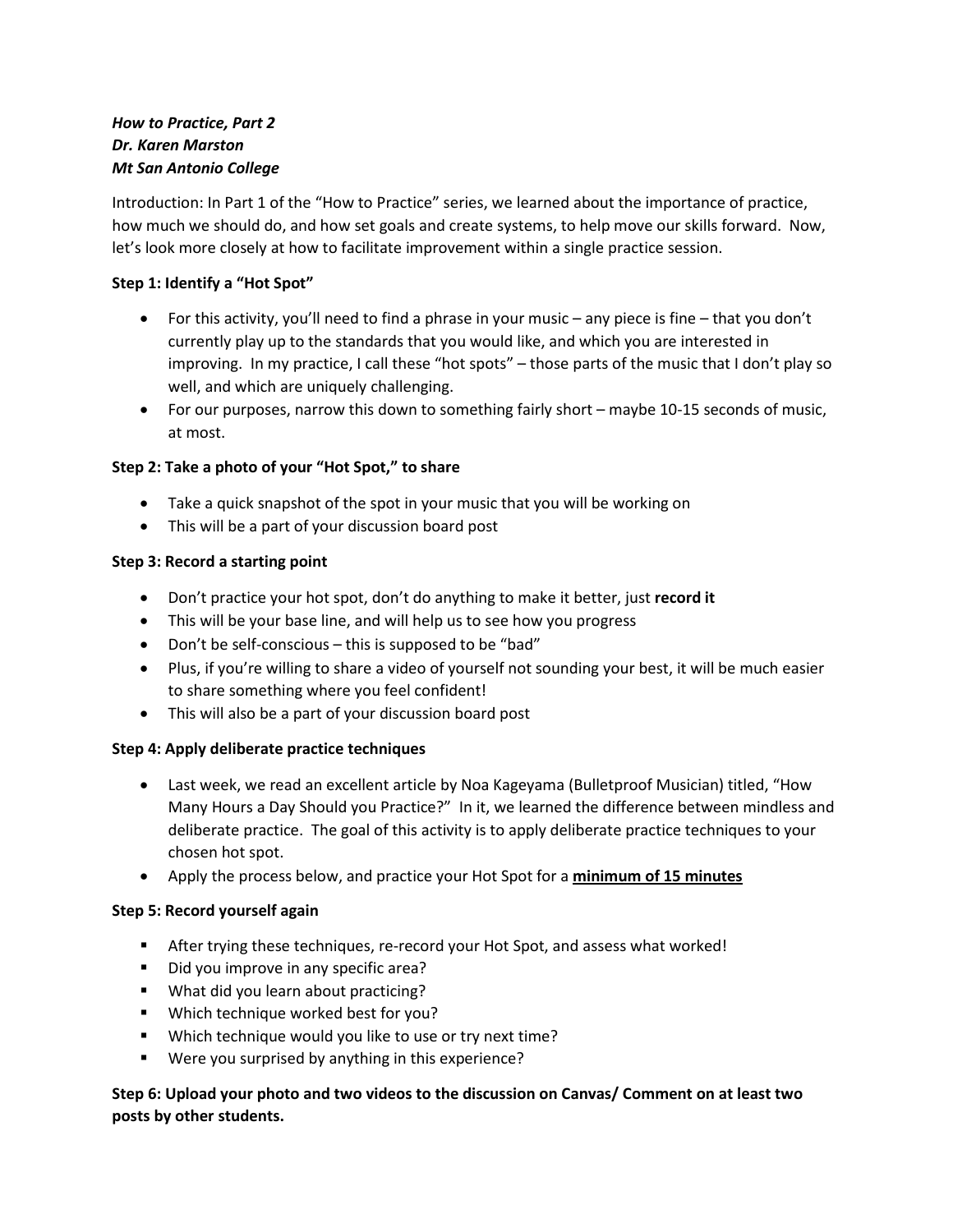## *How to Practice, Part 2 Dr. Karen Marston Mt San Antonio College*

Introduction: In Part 1 of the "How to Practice" series, we learned about the importance of practice, how much we should do, and how set goals and create systems, to help move our skills forward. Now, let's look more closely at how to facilitate improvement within a single practice session.

### **Step 1: Identify a "Hot Spot"**

- For this activity, you'll need to find a phrase in your music any piece is fine that you don't currently play up to the standards that you would like, and which you are interested in improving. In my practice, I call these "hot spots" – those parts of the music that I don't play so well, and which are uniquely challenging.
- For our purposes, narrow this down to something fairly short maybe 10-15 seconds of music, at most.

#### **Step 2: Take a photo of your "Hot Spot," to share**

- Take a quick snapshot of the spot in your music that you will be working on
- This will be a part of your discussion board post

#### **Step 3: Record a starting point**

- Don't practice your hot spot, don't do anything to make it better, just **record it**
- This will be your base line, and will help us to see how you progress
- Don't be self-conscious this is supposed to be "bad"
- Plus, if you're willing to share a video of yourself not sounding your best, it will be much easier to share something where you feel confident!
- This will also be a part of your discussion board post

#### **Step 4: Apply deliberate practice techniques**

- Last week, we read an excellent article by Noa Kageyama (Bulletproof Musician) titled, "How Many Hours a Day Should you Practice?" In it, we learned the difference between mindless and deliberate practice. The goal of this activity is to apply deliberate practice techniques to your chosen hot spot.
- Apply the process below, and practice your Hot Spot for a **minimum of 15 minutes**

#### **Step 5: Record yourself again**

- After trying these techniques, re-record your Hot Spot, and assess what worked!
- Did you improve in any specific area?
- **What did you learn about practicing?**
- **Which technique worked best for you?**
- **Which technique would you like to use or try next time?**
- Were you surprised by anything in this experience?

### **Step 6: Upload your photo and two videos to the discussion on Canvas/ Comment on at least two posts by other students.**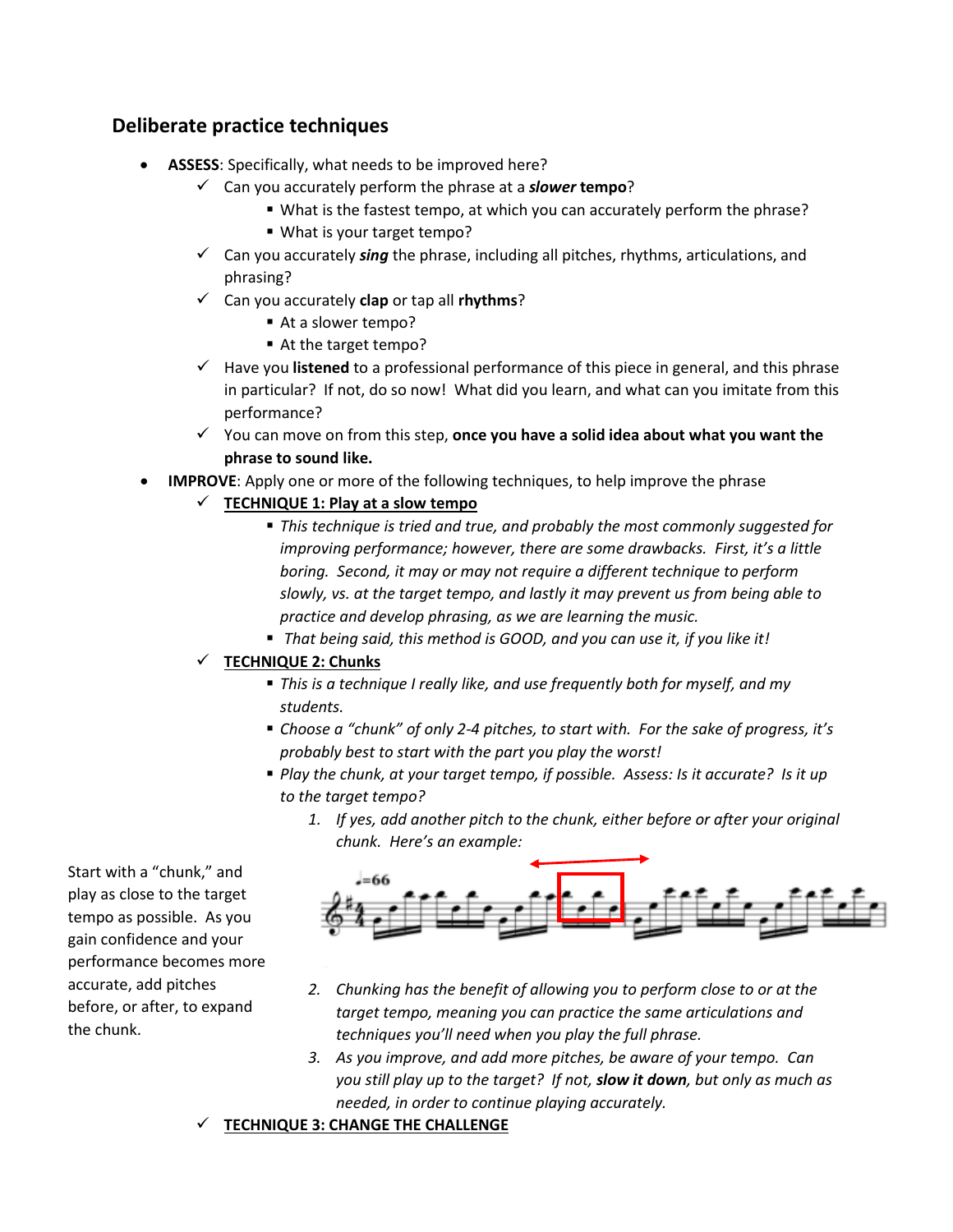# **Deliberate practice techniques**

- **ASSESS**: Specifically, what needs to be improved here?
	- Can you accurately perform the phrase at a *slower* **tempo**?
		- What is the fastest tempo, at which you can accurately perform the phrase?
		- What is your target tempo?
	- Can you accurately *sing* the phrase, including all pitches, rhythms, articulations, and phrasing?
	- Can you accurately **clap** or tap all **rhythms**?
		- At a slower tempo?
		- At the target tempo?
	- Have you **listened** to a professional performance of this piece in general, and this phrase in particular? If not, do so now! What did you learn, and what can you imitate from this performance?
	- You can move on from this step, **once you have a solid idea about what you want the phrase to sound like.**
- **IMPROVE**: Apply one or more of the following techniques, to help improve the phrase
	- $\checkmark$  TECHNIQUE 1: Play at a slow tempo
		- *This technique is tried and true, and probably the most commonly suggested for improving performance; however, there are some drawbacks. First, it's a little boring. Second, it may or may not require a different technique to perform slowly, vs. at the target tempo, and lastly it may prevent us from being able to practice and develop phrasing, as we are learning the music.*
		- *That being said, this method is GOOD, and you can use it, if you like it!*

## **TECHNIQUE 2: Chunks**

- *This is a technique I really like, and use frequently both for myself, and my students.*
- *Choose a "chunk" of only 2-4 pitches, to start with. For the sake of progress, it's probably best to start with the part you play the worst!*
- *Play the chunk, at your target tempo, if possible. Assess: Is it accurate? Is it up to the target tempo?*
	- *1. If yes, add another pitch to the chunk, either before or after your original chunk. Here's an example:*



- *2. Chunking has the benefit of allowing you to perform close to or at the target tempo, meaning you can practice the same articulations and techniques you'll need when you play the full phrase.*
- *3. As you improve, and add more pitches, be aware of your tempo. Can you still play up to the target? If not, slow it down, but only as much as needed, in order to continue playing accurately.*

**TECHNIQUE 3: CHANGE THE CHALLENGE**

Start with a "chunk," and play as close to the target tempo as possible. As you gain confidence and your performance becomes more accurate, add pitches before, or after, to expand the chunk.